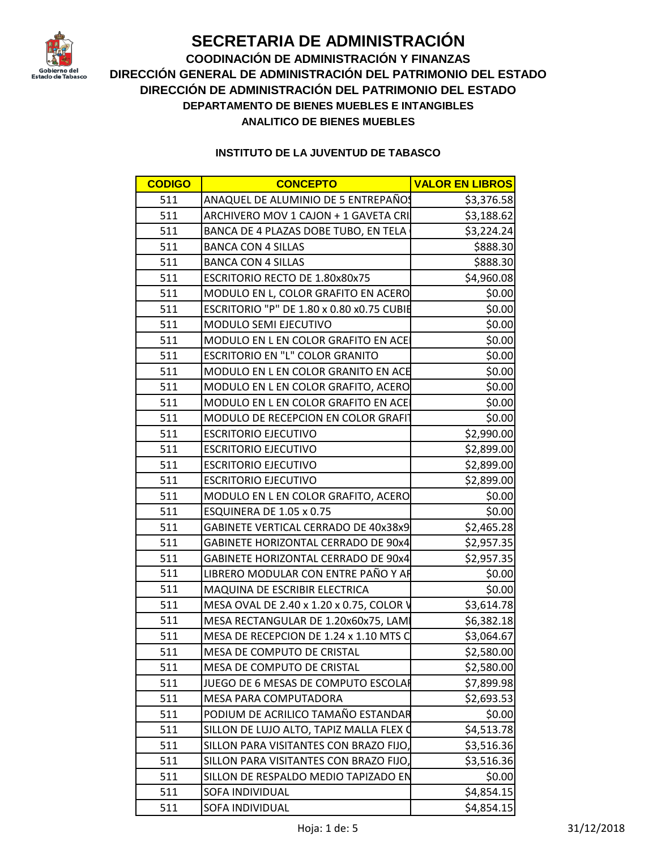

**COODINACIÓN DE ADMINISTRACIÓN Y FINANZAS DIRECCIÓN GENERAL DE ADMINISTRACIÓN DEL PATRIMONIO DEL ESTADO DIRECCIÓN DE ADMINISTRACIÓN DEL PATRIMONIO DEL ESTADO DEPARTAMENTO DE BIENES MUEBLES E INTANGIBLES ANALITICO DE BIENES MUEBLES**

| <b>CODIGO</b> | <b>CONCEPTO</b>                           | <b>VALOR EN LIBROS</b> |
|---------------|-------------------------------------------|------------------------|
| 511           | ANAQUEL DE ALUMINIO DE 5 ENTREPAÑOS       | \$3,376.58             |
| 511           | ARCHIVERO MOV 1 CAJON + 1 GAVETA CRI      | \$3,188.62             |
| 511           | BANCA DE 4 PLAZAS DOBE TUBO, EN TELA      | \$3,224.24             |
| 511           | <b>BANCA CON 4 SILLAS</b>                 | \$888.30               |
| 511           | <b>BANCA CON 4 SILLAS</b>                 | \$888.30               |
| 511           | ESCRITORIO RECTO DE 1.80x80x75            | \$4,960.08             |
| 511           | MODULO EN L, COLOR GRAFITO EN ACERO       | \$0.00                 |
| 511           | ESCRITORIO "P" DE 1.80 x 0.80 x0.75 CUBIE | \$0.00                 |
| 511           | <b>MODULO SEMI EJECUTIVO</b>              | \$0.00                 |
| 511           | MODULO EN L EN COLOR GRAFITO EN ACE       | \$0.00                 |
| 511           | <b>ESCRITORIO EN "L" COLOR GRANITO</b>    | \$0.00                 |
| 511           | MODULO EN L EN COLOR GRANITO EN ACE       | \$0.00                 |
| 511           | MODULO EN L EN COLOR GRAFITO, ACERO       | \$0.00                 |
| 511           | MODULO EN L EN COLOR GRAFITO EN ACE       | \$0.00                 |
| 511           | MODULO DE RECEPCION EN COLOR GRAFIT       | \$0.00                 |
| 511           | <b>ESCRITORIO EJECUTIVO</b>               | \$2,990.00             |
| 511           | <b>ESCRITORIO EJECUTIVO</b>               | \$2,899.00             |
| 511           | <b>ESCRITORIO EJECUTIVO</b>               | \$2,899.00             |
| 511           | <b>ESCRITORIO EJECUTIVO</b>               | \$2,899.00             |
| 511           | MODULO EN L EN COLOR GRAFITO, ACERO       | \$0.00                 |
| 511           | ESQUINERA DE 1.05 x 0.75                  | \$0.00                 |
| 511           | GABINETE VERTICAL CERRADO DE 40x38x9      | \$2,465.28             |
| 511           | GABINETE HORIZONTAL CERRADO DE 90x4       | \$2,957.35             |
| 511           | GABINETE HORIZONTAL CERRADO DE 90x4       | \$2,957.35             |
| 511           | LIBRERO MODULAR CON ENTRE PAÑO Y AR       | \$0.00                 |
| 511           | MAQUINA DE ESCRIBIR ELECTRICA             | \$0.00                 |
| 511           | MESA OVAL DE 2.40 x 1.20 x 0.75, COLOR V  | \$3,614.78             |
| 511           | MESA RECTANGULAR DE 1.20x60x75, LAMI      | \$6,382.18             |
| 511           | MESA DE RECEPCION DE 1.24 x 1.10 MTS C    | \$3,064.67             |
| 511           | MESA DE COMPUTO DE CRISTAL                | \$2,580.00             |
| 511           | <b>MESA DE COMPUTO DE CRISTAL</b>         | \$2,580.00             |
| 511           | JUEGO DE 6 MESAS DE COMPUTO ESCOLAR       | \$7,899.98             |
| 511           | MESA PARA COMPUTADORA                     | \$2,693.53             |
| 511           | PODIUM DE ACRILICO TAMAÑO ESTANDAR        | \$0.00                 |
| 511           | SILLON DE LUJO ALTO, TAPIZ MALLA FLEX O   | \$4,513.78             |
| 511           | SILLON PARA VISITANTES CON BRAZO FIJO,    | \$3,516.36             |
| 511           | SILLON PARA VISITANTES CON BRAZO FIJO,    | \$3,516.36             |
| 511           | SILLON DE RESPALDO MEDIO TAPIZADO EN      | \$0.00                 |
| 511           | <b>SOFA INDIVIDUAL</b>                    | \$4,854.15             |
| 511           | SOFA INDIVIDUAL                           | \$4,854.15             |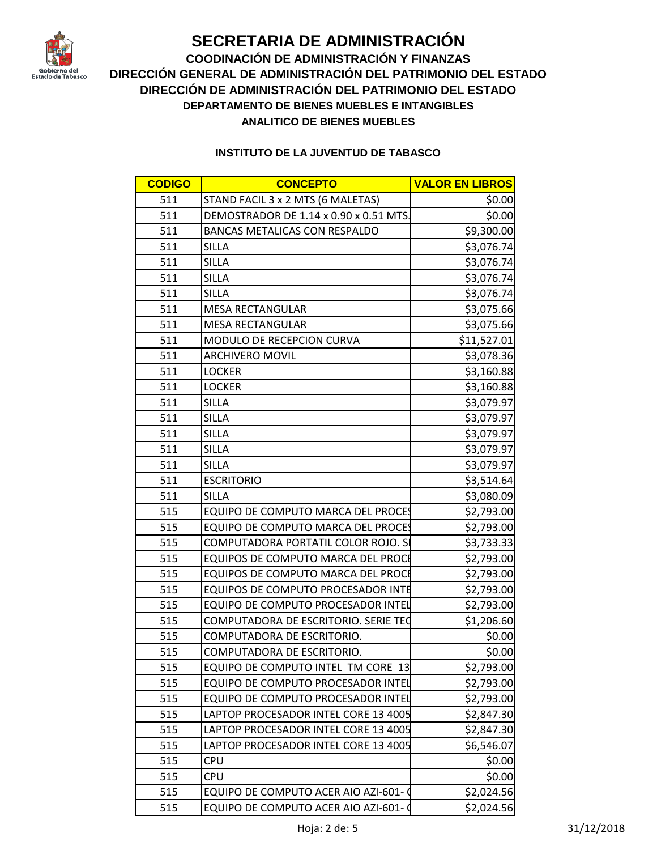

**COODINACIÓN DE ADMINISTRACIÓN Y FINANZAS DIRECCIÓN GENERAL DE ADMINISTRACIÓN DEL PATRIMONIO DEL ESTADO DIRECCIÓN DE ADMINISTRACIÓN DEL PATRIMONIO DEL ESTADO DEPARTAMENTO DE BIENES MUEBLES E INTANGIBLES ANALITICO DE BIENES MUEBLES**

| <b>CODIGO</b> | <b>CONCEPTO</b>                           | <b>VALOR EN LIBROS</b> |
|---------------|-------------------------------------------|------------------------|
| 511           | STAND FACIL 3 x 2 MTS (6 MALETAS)         | \$0.00                 |
| 511           | DEMOSTRADOR DE 1.14 x 0.90 x 0.51 MTS.    | \$0.00                 |
| 511           | <b>BANCAS METALICAS CON RESPALDO</b>      | \$9,300.00             |
| 511           | <b>SILLA</b>                              | \$3,076.74             |
| 511           | <b>SILLA</b>                              | \$3,076.74             |
| 511           | SILLA                                     | \$3,076.74             |
| 511           | <b>SILLA</b>                              | \$3,076.74             |
| 511           | MESA RECTANGULAR                          | \$3,075.66             |
| 511           | MESA RECTANGULAR                          | \$3,075.66             |
| 511           | MODULO DE RECEPCION CURVA                 | \$11,527.01            |
| 511           | <b>ARCHIVERO MOVIL</b>                    | \$3,078.36             |
| 511           | <b>LOCKER</b>                             | \$3,160.88             |
| 511           | <b>LOCKER</b>                             | \$3,160.88             |
| 511           | <b>SILLA</b>                              | \$3,079.97             |
| 511           | SILLA                                     | \$3,079.97             |
| 511           | <b>SILLA</b>                              | \$3,079.97             |
| 511           | <b>SILLA</b>                              | \$3,079.97             |
| 511           | <b>SILLA</b>                              | \$3,079.97             |
| 511           | <b>ESCRITORIO</b>                         | \$3,514.64             |
| 511           | <b>SILLA</b>                              | \$3,080.09             |
| 515           | EQUIPO DE COMPUTO MARCA DEL PROCES        | \$2,793.00             |
| 515           | EQUIPO DE COMPUTO MARCA DEL PROCES        | \$2,793.00             |
| 515           | COMPUTADORA PORTATIL COLOR ROJO. S        | \$3,733.33             |
| 515           | EQUIPOS DE COMPUTO MARCA DEL PROCE        | \$2,793.00             |
| 515           | <b>EQUIPOS DE COMPUTO MARCA DEL PROCE</b> | \$2,793.00             |
| 515           | <b>EQUIPOS DE COMPUTO PROCESADOR INTE</b> | \$2,793.00             |
| 515           | EQUIPO DE COMPUTO PROCESADOR INTEL        | \$2,793.00             |
| 515           | COMPUTADORA DE ESCRITORIO. SERIE TEC      | \$1,206.60             |
| 515           | COMPUTADORA DE ESCRITORIO.                | \$0.00                 |
| 515           | COMPUTADORA DE ESCRITORIO.                | \$0.00                 |
| 515           | EQUIPO DE COMPUTO INTEL TM CORE 13        | \$2,793.00             |
| 515           | <b>EQUIPO DE COMPUTO PROCESADOR INTEL</b> | \$2,793.00             |
| 515           | EQUIPO DE COMPUTO PROCESADOR INTEL        | \$2,793.00             |
| 515           | LAPTOP PROCESADOR INTEL CORE 13 4005      | \$2,847.30             |
| 515           | LAPTOP PROCESADOR INTEL CORE 13 4005      | \$2,847.30             |
| 515           | LAPTOP PROCESADOR INTEL CORE 13 4005      | \$6,546.07             |
| 515           | <b>CPU</b>                                | \$0.00                 |
| 515           | <b>CPU</b>                                | \$0.00                 |
| 515           | EQUIPO DE COMPUTO ACER AIO AZI-601-       | \$2,024.56             |
| 515           | EQUIPO DE COMPUTO ACER AIO AZI-601-       | \$2,024.56             |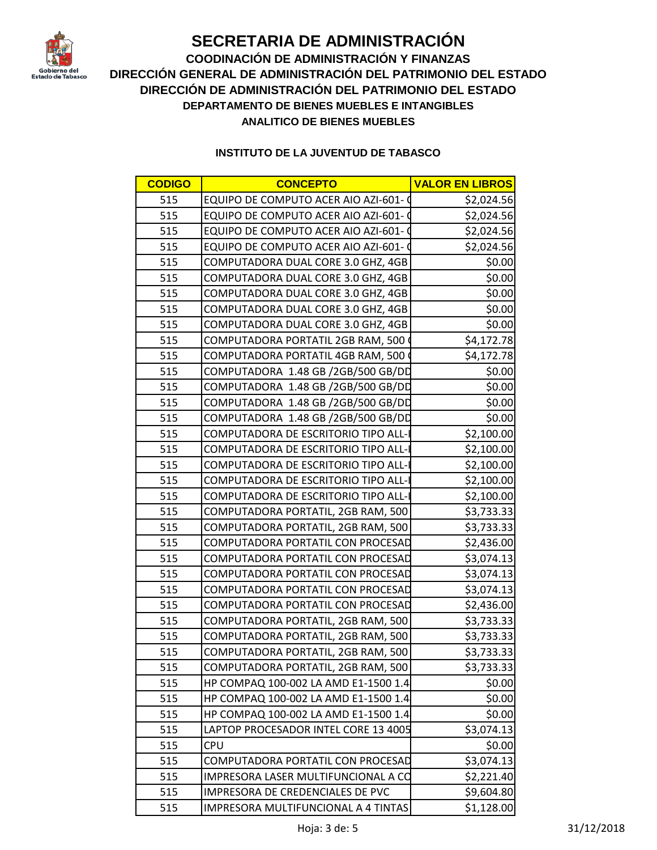

**COODINACIÓN DE ADMINISTRACIÓN Y FINANZAS DIRECCIÓN GENERAL DE ADMINISTRACIÓN DEL PATRIMONIO DEL ESTADO DIRECCIÓN DE ADMINISTRACIÓN DEL PATRIMONIO DEL ESTADO DEPARTAMENTO DE BIENES MUEBLES E INTANGIBLES ANALITICO DE BIENES MUEBLES**

| <b>CODIGO</b> | <b>CONCEPTO</b>                      | <b>VALOR EN LIBROS</b> |
|---------------|--------------------------------------|------------------------|
| 515           | EQUIPO DE COMPUTO ACER AIO AZI-601-  | \$2,024.56             |
| 515           | EQUIPO DE COMPUTO ACER AIO AZI-601-  | \$2,024.56             |
| 515           | EQUIPO DE COMPUTO ACER AIO AZI-601-  | \$2,024.56             |
| 515           | EQUIPO DE COMPUTO ACER AIO AZI-601-  | \$2,024.56             |
| 515           | COMPUTADORA DUAL CORE 3.0 GHZ, 4GB   | \$0.00                 |
| 515           | COMPUTADORA DUAL CORE 3.0 GHZ, 4GB   | \$0.00                 |
| 515           | COMPUTADORA DUAL CORE 3.0 GHZ, 4GB   | \$0.00                 |
| 515           | COMPUTADORA DUAL CORE 3.0 GHZ, 4GB   | \$0.00                 |
| 515           | COMPUTADORA DUAL CORE 3.0 GHZ, 4GB   | \$0.00                 |
| 515           | COMPUTADORA PORTATIL 2GB RAM, 500    | \$4,172.78             |
| 515           | COMPUTADORA PORTATIL 4GB RAM, 500    | \$4,172.78             |
| 515           | COMPUTADORA 1.48 GB /2GB/500 GB/DD   | \$0.00                 |
| 515           | COMPUTADORA 1.48 GB /2GB/500 GB/DD   | \$0.00                 |
| 515           | COMPUTADORA 1.48 GB /2GB/500 GB/DD   | \$0.00                 |
| 515           | COMPUTADORA 1.48 GB /2GB/500 GB/DD   | \$0.00                 |
| 515           | COMPUTADORA DE ESCRITORIO TIPO ALL-  | \$2,100.00             |
| 515           | COMPUTADORA DE ESCRITORIO TIPO ALL-  | \$2,100.00             |
| 515           | COMPUTADORA DE ESCRITORIO TIPO ALL-  | \$2,100.00             |
| 515           | COMPUTADORA DE ESCRITORIO TIPO ALL-  | \$2,100.00             |
| 515           | COMPUTADORA DE ESCRITORIO TIPO ALL-  | \$2,100.00             |
| 515           | COMPUTADORA PORTATIL, 2GB RAM, 500   | \$3,733.33             |
| 515           | COMPUTADORA PORTATIL, 2GB RAM, 500   | \$3,733.33             |
| 515           | COMPUTADORA PORTATIL CON PROCESAD    | \$2,436.00             |
| 515           | COMPUTADORA PORTATIL CON PROCESAD    | \$3,074.13             |
| 515           | COMPUTADORA PORTATIL CON PROCESAD    | \$3,074.13             |
| 515           | COMPUTADORA PORTATIL CON PROCESAD    | \$3,074.13             |
| 515           | COMPUTADORA PORTATIL CON PROCESAD    | \$2,436.00             |
| 515           | COMPUTADORA PORTATIL, 2GB RAM, 500   | \$3,733.33             |
| 515           | COMPUTADORA PORTATIL, 2GB RAM, 500   | \$3,733.33             |
| 515           | COMPUTADORA PORTATIL, 2GB RAM, 500   | \$3,733.33             |
| 515           | COMPUTADORA PORTATIL, 2GB RAM, 500   | \$3,733.33             |
| 515           | HP COMPAQ 100-002 LA AMD E1-1500 1.4 | \$0.00                 |
| 515           | HP COMPAQ 100-002 LA AMD E1-1500 1.4 | \$0.00                 |
| 515           | HP COMPAQ 100-002 LA AMD E1-1500 1.4 | \$0.00                 |
| 515           | LAPTOP PROCESADOR INTEL CORE 13 4005 | \$3,074.13             |
| 515           | <b>CPU</b>                           | \$0.00                 |
| 515           | COMPUTADORA PORTATIL CON PROCESAD    | \$3,074.13             |
| 515           | IMPRESORA LASER MULTIFUNCIONAL A CO  | \$2,221.40             |
| 515           | IMPRESORA DE CREDENCIALES DE PVC     | \$9,604.80             |
| 515           | IMPRESORA MULTIFUNCIONAL A 4 TINTAS  | \$1,128.00             |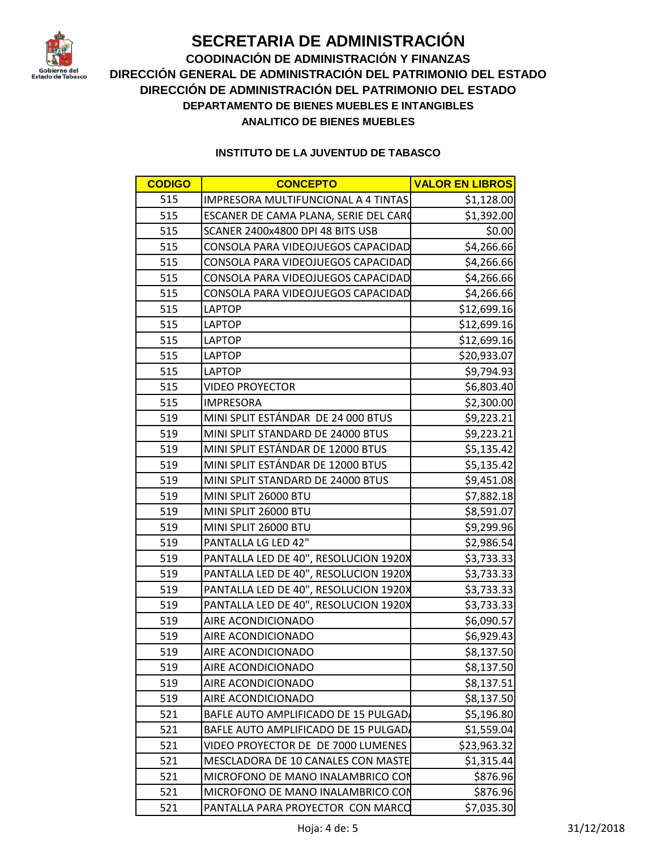

**COODINACIÓN DE ADMINISTRACIÓN Y FINANZAS DIRECCIÓN GENERAL DE ADMINISTRACIÓN DEL PATRIMONIO DEL ESTADO DIRECCIÓN DE ADMINISTRACIÓN DEL PATRIMONIO DEL ESTADO DEPARTAMENTO DE BIENES MUEBLES E INTANGIBLES ANALITICO DE BIENES MUEBLES**

| <b>CODIGO</b> | <b>CONCEPTO</b>                              | <b>VALOR EN LIBROS</b> |
|---------------|----------------------------------------------|------------------------|
| 515           | IMPRESORA MULTIFUNCIONAL A 4 TINTAS          | \$1,128.00             |
| 515           | <b>ESCANER DE CAMA PLANA, SERIE DEL CARC</b> | \$1,392.00             |
| 515           | SCANER 2400x4800 DPI 48 BITS USB             | \$0.00                 |
| 515           | CONSOLA PARA VIDEOJUEGOS CAPACIDAD           | \$4,266.66             |
| 515           | CONSOLA PARA VIDEOJUEGOS CAPACIDAD           | \$4,266.66             |
| 515           | CONSOLA PARA VIDEOJUEGOS CAPACIDAD           | \$4,266.66             |
| 515           | CONSOLA PARA VIDEOJUEGOS CAPACIDAD           | \$4,266.66             |
| 515           | <b>LAPTOP</b>                                | \$12,699.16            |
| 515           | <b>LAPTOP</b>                                | \$12,699.16            |
| 515           | <b>LAPTOP</b>                                | \$12,699.16            |
| 515           | <b>LAPTOP</b>                                | \$20,933.07            |
| 515           | <b>LAPTOP</b>                                | \$9,794.93             |
| 515           | <b>VIDEO PROYECTOR</b>                       | \$6,803.40             |
| 515           | <b>IMPRESORA</b>                             | \$2,300.00             |
| 519           | MINI SPLIT ESTÁNDAR DE 24 000 BTUS           | \$9,223.21             |
| 519           | MINI SPLIT STANDARD DE 24000 BTUS            | \$9,223.21             |
| 519           | MINI SPLIT ESTÁNDAR DE 12000 BTUS            | \$5,135.42             |
| 519           | MINI SPLIT ESTÁNDAR DE 12000 BTUS            | \$5,135.42             |
| 519           | MINI SPLIT STANDARD DE 24000 BTUS            | \$9,451.08             |
| 519           | MINI SPLIT 26000 BTU                         | \$7,882.18             |
| 519           | MINI SPLIT 26000 BTU                         | \$8,591.07             |
| 519           | MINI SPLIT 26000 BTU                         | \$9,299.96             |
| 519           | PANTALLA LG LED 42"                          | \$2,986.54             |
| 519           | PANTALLA LED DE 40", RESOLUCION 1920X        | \$3,733.33             |
| 519           | PANTALLA LED DE 40", RESOLUCION 1920X        | \$3,733.33             |
| 519           | PANTALLA LED DE 40", RESOLUCION 1920X        | \$3,733.33             |
| 519           | PANTALLA LED DE 40", RESOLUCION 1920X        | \$3,733.33             |
| 519           | AIRE ACONDICIONADO                           | \$6,090.57             |
| 519           | AIRE ACONDICIONADO                           | \$6,929.43             |
| 519           | AIRE ACONDICIONADO                           | \$8,137.50             |
| 519           | AIRE ACONDICIONADO                           | \$8,137.50             |
| 519           | AIRE ACONDICIONADO                           | \$8,137.51             |
| 519           | AIRE ACONDICIONADO                           | \$8,137.50             |
| 521           | BAFLE AUTO AMPLIFICADO DE 15 PULGAD          | \$5,196.80             |
| 521           | BAFLE AUTO AMPLIFICADO DE 15 PULGAD          | \$1,559.04             |
| 521           | VIDEO PROYECTOR DE DE 7000 LUMENES           | \$23,963.32            |
| 521           | MESCLADORA DE 10 CANALES CON MASTE           | \$1,315.44             |
| 521           | MICROFONO DE MANO INALAMBRICO CON            | \$876.96               |
| 521           | MICROFONO DE MANO INALAMBRICO CON            | \$876.96               |
| 521           | PANTALLA PARA PROYECTOR CON MARCO            | \$7,035.30             |